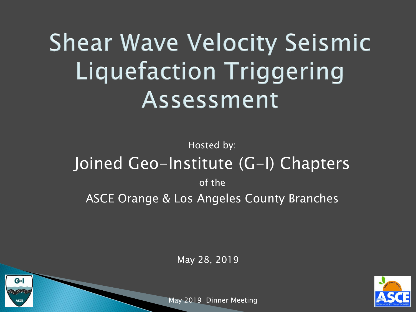### **Shear Wave Velocity Seismic Liquefaction Triggering** Assessment

### Hosted by: Joined Geo-Institute (G-I) Chapters of the **ASCE Orange & Los Angeles County Branches**

May 28, 2019



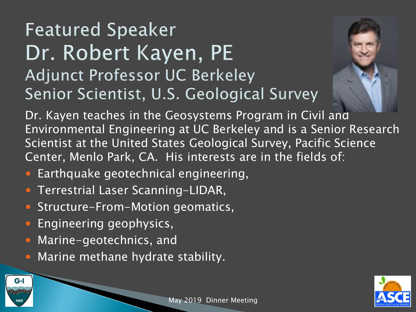### **Featured Speaker** Dr. Robert Kayen, PE **Adjunct Professor UC Berkeley** Senior Scientist, U.S. Geological Survey



Dr. Kayen teaches in the Geosystems Program in Civil and Environmental Engineering at UC Berkeley and is a Senior Research Scientist at the United States Geological Survey, Pacific Science Center, Menlo Park, CA. His interests are in the fields of:

- Earthquake geotechnical engineering,
- Terrestrial Laser Scanning-LIDAR,
- **Structure-From-Motion geomatics,**
- Engineering geophysics,
- Marine-geotechnics, and
- Marine methane hydrate stability.



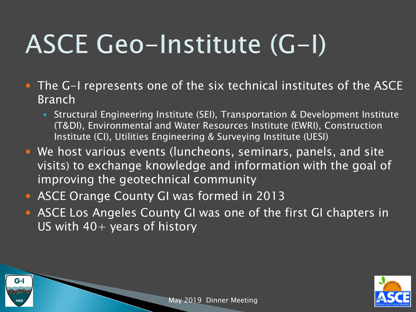## ASCE Geo-Institute (G-I)

- The G-I represents one of the six technical institutes of the ASCE Branch
	- Structural Engineering Institute (SEI), Transportation & Development Institute (T&DI), Environmental and Water Resources Institute (EWRI), Construction Institute (CI), Utilities Engineering & Surveying Institute (UESI)
- We host various events (luncheons, seminars, panels, and site visits) to exchange knowledge and information with the goal of improving the geotechnical community
- ASCE Orange County GI was formed in 2013

 $G-I$ 

 ASCE Los Angeles County GI was one of the first GI chapters in US with  $40+$  years of history



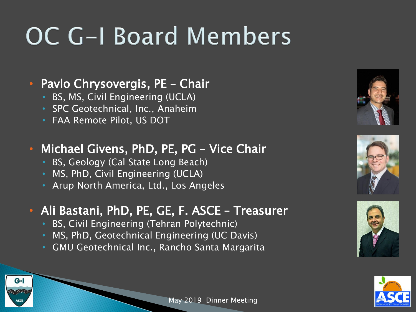### OC G-I Board Members

#### • Pavlo Chrysovergis, PE – Chair

- BS, MS, Civil Engineering (UCLA)
- SPC Geotechnical, Inc., Anaheim
- FAA Remote Pilot, US DOT

#### • Michael Givens, PhD, PE, PG – Vice Chair

- BS, Geology (Cal State Long Beach)
- MS, PhD, Civil Engineering (UCLA)
- Arup North America, Ltd., Los Angeles

#### • Ali Bastani, PhD, PE, GE, F. ASCE – Treasurer

- BS, Civil Engineering (Tehran Polytechnic)
- MS, PhD, Geotechnical Engineering (UC Davis)
- GMU Geotechnical Inc., Rancho Santa Margarita









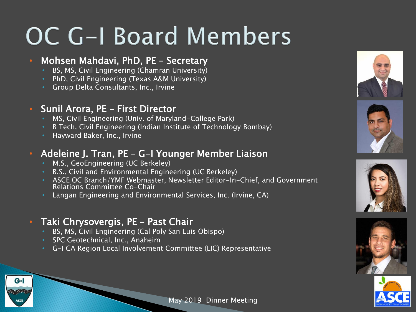### OC G-I Board Members

#### • Mohsen Mahdavi, PhD, PE – Secretary

- BS, MS, Civil Engineering (Chamran University)
- PhD, Civil Engineering (Texas A&M University)
- Group Delta Consultants, Inc., Irvine

#### • Sunil Arora, PE – First Director

- MS, Civil Engineering (Univ. of Maryland-College Park)
- B Tech, Civil Engineering (Indian Institute of Technology Bombay)
- Hayward Baker, Inc., Irvine

#### • Adeleine J. Tran, PE – G-I Younger Member Liaison

- M.S., GeoEngineering (UC Berkeley)
- B.S., Civil and Environmental Engineering (UC Berkeley)
- ASCE OC Branch/YMF Webmaster, Newsletter Editor-In-Chief, and Government Relations Committee Co-Chair
- Langan Engineering and Environmental Services, Inc. (Irvine, CA)

#### • Taki Chrysovergis, PE – Past Chair

- BS, MS, Civil Engineering (Cal Poly San Luis Obispo)
- SPC Geotechnical, Inc., Anaheim
- G-I CA Region Local Involvement Committee (LIC) Representative











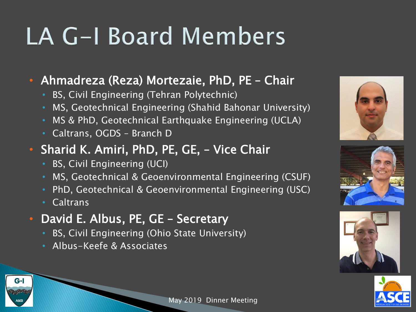### LA G-I Board Members

• Ahmadreza (Reza) Mortezaie, PhD, PE – Chair

- BS, Civil Engineering (Tehran Polytechnic)
- MS, Geotechnical Engineering (Shahid Bahonar University)
- MS & PhD, Geotechnical Earthquake Engineering (UCLA)
- Caltrans, OGDS Branch D
- Sharid K. Amiri, PhD, PE, GE, Vice Chair
	- BS, Civil Engineering (UCI)
	- MS, Geotechnical & Geoenvironmental Engineering (CSUF)
	- PhD, Geotechnical & Geoenvironmental Engineering (USC)
	- Caltrans
- David E. Albus, PE, GE Secretary
	- BS, Civil Engineering (Ohio State University)
	- Albus-Keefe & Associates









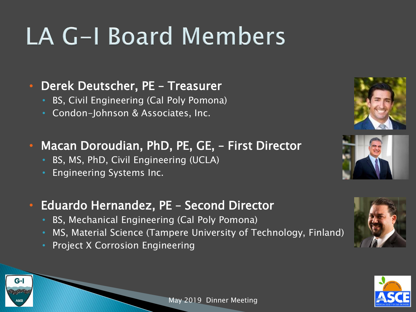### LA G-I Board Members

#### • Derek Deutscher, PE – Treasurer

- BS, Civil Engineering (Cal Poly Pomona)
- Condon-Johnson & Associates, Inc.

#### • Macan Doroudian, PhD, PE, GE, – First Director

- BS, MS, PhD, Civil Engineering (UCLA)
- Engineering Systems Inc.

#### • Eduardo Hernandez, PE – Second Director

- BS, Mechanical Engineering (Cal Poly Pomona)
- MS, Material Science (Tampere University of Technology, Finland)
- Project X Corrosion Engineering

 $G-I$